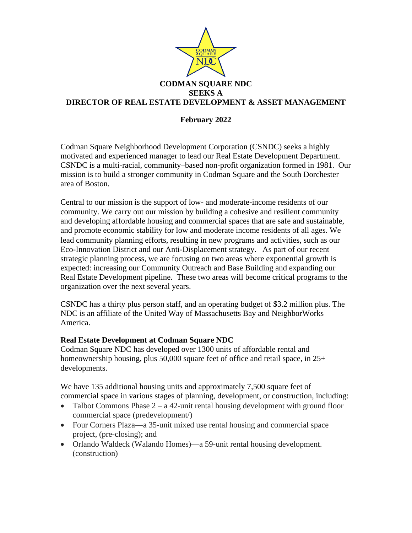

## **February 2022**

Codman Square Neighborhood Development Corporation (CSNDC) seeks a highly motivated and experienced manager to lead our Real Estate Development Department. CSNDC is a multi-racial, community–based non-profit organization formed in 1981. Our mission is to build a stronger community in Codman Square and the South Dorchester area of Boston.

Central to our mission is the support of low- and moderate-income residents of our community. We carry out our mission by building a cohesive and resilient community and developing affordable housing and commercial spaces that are safe and sustainable, and promote economic stability for low and moderate income residents of all ages. We lead community planning efforts, resulting in new programs and activities, such as our Eco-Innovation District and our Anti-Displacement strategy. As part of our recent strategic planning process, we are focusing on two areas where exponential growth is expected: increasing our Community Outreach and Base Building and expanding our Real Estate Development pipeline. These two areas will become critical programs to the organization over the next several years.

CSNDC has a thirty plus person staff, and an operating budget of \$3.2 million plus. The NDC is an affiliate of the United Way of Massachusetts Bay and NeighborWorks America.

## **Real Estate Development at Codman Square NDC**

Codman Square NDC has developed over 1300 units of affordable rental and homeownership housing, plus 50,000 square feet of office and retail space, in 25+ developments.

We have 135 additional housing units and approximately 7,500 square feet of commercial space in various stages of planning, development, or construction, including:

- Talbot Commons Phase  $2 a 42$ -unit rental housing development with ground floor commercial space (predevelopment/)
- Four Corners Plaza—a 35-unit mixed use rental housing and commercial space project, (pre-closing); and
- Orlando Waldeck (Walando Homes)—a 59-unit rental housing development. (construction)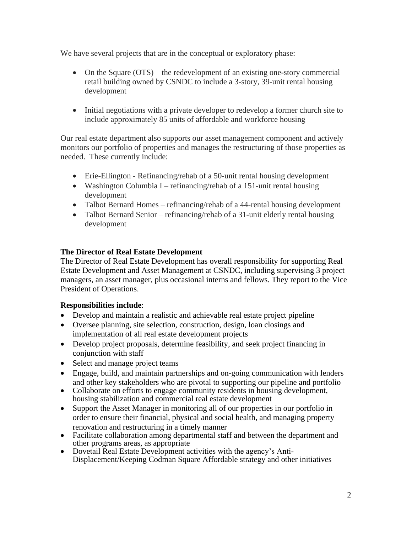We have several projects that are in the conceptual or exploratory phase:

- On the Square (OTS) the redevelopment of an existing one-story commercial retail building owned by CSNDC to include a 3-story, 39-unit rental housing development
- Initial negotiations with a private developer to redevelop a former church site to include approximately 85 units of affordable and workforce housing

Our real estate department also supports our asset management component and actively monitors our portfolio of properties and manages the restructuring of those properties as needed. These currently include:

- Erie-Ellington Refinancing/rehab of a 50-unit rental housing development
- Washington Columbia I refinancing/rehab of a 151-unit rental housing development
- Talbot Bernard Homes refinancing/rehab of a 44-rental housing development
- Talbot Bernard Senior refinancing/rehab of a 31-unit elderly rental housing development

# **The Director of Real Estate Development**

The Director of Real Estate Development has overall responsibility for supporting Real Estate Development and Asset Management at CSNDC, including supervising 3 project managers, an asset manager, plus occasional interns and fellows. They report to the Vice President of Operations.

## **Responsibilities include**:

- Develop and maintain a realistic and achievable real estate project pipeline
- Oversee planning, site selection, construction, design, loan closings and implementation of all real estate development projects
- Develop project proposals, determine feasibility, and seek project financing in conjunction with staff
- Select and manage project teams
- Engage, build, and maintain partnerships and on-going communication with lenders and other key stakeholders who are pivotal to supporting our pipeline and portfolio
- Collaborate on efforts to engage community residents in housing development, housing stabilization and commercial real estate development
- Support the Asset Manager in monitoring all of our properties in our portfolio in order to ensure their financial, physical and social health, and managing property renovation and restructuring in a timely manner
- Facilitate collaboration among departmental staff and between the department and other programs areas, as appropriate
- Dovetail Real Estate Development activities with the agency's Anti-Displacement/Keeping Codman Square Affordable strategy and other initiatives